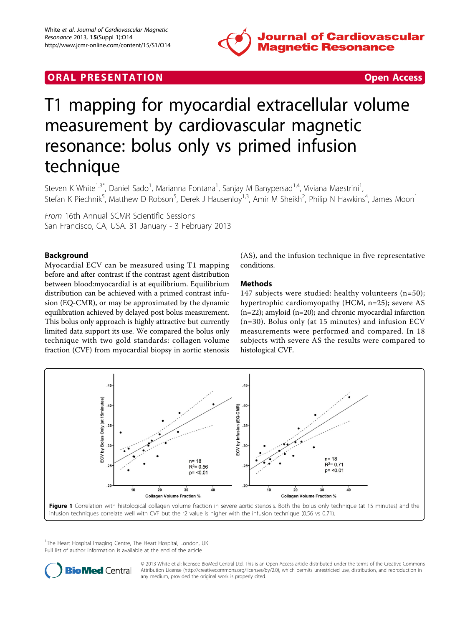

# **ORAL PRESENTATION CONSUMING ACCESS**



# T1 mapping for myocardial extracellular volume measurement by cardiovascular magnetic resonance: bolus only vs primed infusion technique

Steven K White<sup>1,3\*</sup>, Daniel Sado<sup>1</sup>, Marianna Fontana<sup>1</sup>, Sanjay M Banypersad<sup>1,4</sup>, Viviana Maestrini<sup>1</sup> , Stefan K Piechnik<sup>5</sup>, Matthew D Robson<sup>5</sup>, Derek J Hausenloy<sup>1,3</sup>, Amir M Sheikh<sup>2</sup>, Philip N Hawkins<sup>4</sup>, James Moon<sup>1</sup>

From 16th Annual SCMR Scientific Sessions San Francisco, CA, USA. 31 January - 3 February 2013

## Background

Myocardial ECV can be measured using T1 mapping before and after contrast if the contrast agent distribution between blood:myocardial is at equilibrium. Equilibrium distribution can be achieved with a primed contrast infusion (EQ-CMR), or may be approximated by the dynamic equilibration achieved by delayed post bolus measurement. This bolus only approach is highly attractive but currently limited data support its use. We compared the bolus only technique with two gold standards: collagen volume fraction (CVF) from myocardial biopsy in aortic stenosis

(AS), and the infusion technique in five representative conditions.

## Methods

147 subjects were studied: healthy volunteers (n=50); hypertrophic cardiomyopathy (HCM, n=25); severe AS (n=22); amyloid (n=20); and chronic myocardial infarction (n=30). Bolus only (at 15 minutes) and infusion ECV measurements were performed and compared. In 18 subjects with severe AS the results were compared to histological CVF.



<sup>1</sup>The Heart Hospital Imaging Centre, The Heart Hospital, London, UK Full list of author information is available at the end of the article



© 2013 White et al; licensee BioMed Central Ltd. This is an Open Access article distributed under the terms of the Creative Commons Attribution License [\(http://creativecommons.org/licenses/by/2.0](http://creativecommons.org/licenses/by/2.0)), which permits unrestricted use, distribution, and reproduction in any medium, provided the original work is properly cited.